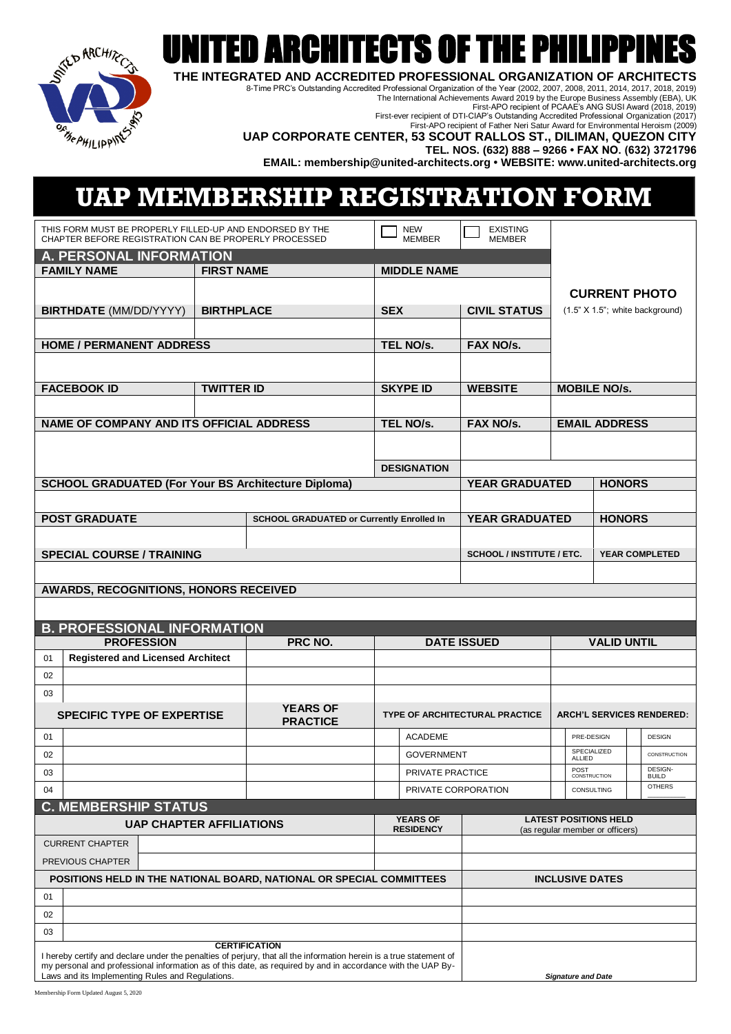

## UNITED ARCHITECTS OF THE PHILIPPINES

**THE INTEGRATED AND ACCREDITED PROFESSIONAL ORGANIZATION OF ARCHITECTS**

8-Time PRC's Outstanding Accredited Professional Organization of the Year (2002, 2007, 2008, 2011, 2014, 2017, 2018, 2019) The International Achievements Award 2019 by the Europe Business Assembly (EBA), UK

First-APO recipient of PCAAE's ANG SUSI Award (2018, 2019)

First-ever recipient of DTI-CIAP's Outstanding Accredited Professional Organization (2017) First-APO recipient of Father Neri Satur Award for Environmental Heroism (2009)

| <b>BEAHILIPPING</b> |  |
|---------------------|--|
|                     |  |

**UAP CORPORATE CENTER, 53 SCOUT RALLOS ST., DILIMAN, QUEZON CITY**

**TEL. NOS. (632) 888 – 9266 • FAX NO. (632) 3721796**

**EMAIL: membership@united-architects.org • WEBSITE: www.united-architects.org**

## **UAP MEMBERSHIP REGISTRATION FORM**

| THIS FORM MUST BE PROPERLY FILLED-UP AND ENDORSED BY THE                                                                  |                      |                                                  |                             |                                       |                                        |                      |                                  |
|---------------------------------------------------------------------------------------------------------------------------|----------------------|--------------------------------------------------|-----------------------------|---------------------------------------|----------------------------------------|----------------------|----------------------------------|
| CHAPTER BEFORE REGISTRATION CAN BE PROPERLY PROCESSED                                                                     |                      |                                                  | <b>NEW</b><br><b>MEMBER</b> | <b>EXISTING</b><br><b>MEMBER</b>      |                                        |                      |                                  |
| A. PERSONAL INFORMATION                                                                                                   |                      |                                                  |                             |                                       |                                        |                      |                                  |
| <b>FAMILY NAME</b>                                                                                                        | <b>FIRST NAME</b>    |                                                  | <b>MIDDLE NAME</b>          |                                       |                                        |                      |                                  |
|                                                                                                                           |                      |                                                  |                             |                                       |                                        |                      | <b>CURRENT PHOTO</b>             |
| <b>BIRTHDATE</b> (MM/DD/YYYY)                                                                                             | <b>BIRTHPLACE</b>    |                                                  | <b>SEX</b>                  | <b>CIVIL STATUS</b>                   |                                        |                      | (1.5" X 1.5"; white background)  |
|                                                                                                                           |                      |                                                  |                             |                                       |                                        |                      |                                  |
| <b>HOME / PERMANENT ADDRESS</b>                                                                                           |                      |                                                  |                             | FAX NO/s.                             |                                        |                      |                                  |
|                                                                                                                           |                      |                                                  | TEL NO/s.                   |                                       |                                        |                      |                                  |
|                                                                                                                           |                      |                                                  |                             |                                       |                                        |                      |                                  |
| <b>FACEBOOK ID</b>                                                                                                        | <b>TWITTER ID</b>    |                                                  | <b>SKYPE ID</b>             | <b>WEBSITE</b>                        |                                        | <b>MOBILE NO/s.</b>  |                                  |
|                                                                                                                           |                      |                                                  |                             |                                       |                                        |                      |                                  |
| NAME OF COMPANY AND ITS OFFICIAL ADDRESS                                                                                  |                      |                                                  | TEL NO/s.                   | <b>FAX NO/s.</b>                      |                                        | <b>EMAIL ADDRESS</b> |                                  |
|                                                                                                                           |                      |                                                  |                             |                                       |                                        |                      |                                  |
|                                                                                                                           |                      |                                                  |                             |                                       |                                        |                      |                                  |
|                                                                                                                           |                      |                                                  | <b>DESIGNATION</b>          |                                       |                                        |                      |                                  |
| <b>SCHOOL GRADUATED (For Your BS Architecture Diploma)</b>                                                                |                      |                                                  |                             |                                       | <b>YEAR GRADUATED</b><br><b>HONORS</b> |                      |                                  |
|                                                                                                                           |                      |                                                  |                             |                                       |                                        |                      |                                  |
| <b>POST GRADUATE</b>                                                                                                      |                      | <b>SCHOOL GRADUATED or Currently Enrolled In</b> |                             | <b>YEAR GRADUATED</b>                 |                                        | <b>HONORS</b>        |                                  |
|                                                                                                                           |                      |                                                  |                             |                                       |                                        |                      |                                  |
| <b>SPECIAL COURSE / TRAINING</b>                                                                                          |                      |                                                  |                             | <b>SCHOOL / INSTITUTE / ETC.</b>      |                                        |                      | <b>YEAR COMPLETED</b>            |
|                                                                                                                           |                      |                                                  |                             |                                       |                                        |                      |                                  |
| AWARDS, RECOGNITIONS, HONORS RECEIVED                                                                                     |                      |                                                  |                             |                                       |                                        |                      |                                  |
|                                                                                                                           |                      |                                                  |                             |                                       |                                        |                      |                                  |
|                                                                                                                           |                      |                                                  |                             |                                       |                                        |                      |                                  |
|                                                                                                                           |                      |                                                  |                             |                                       |                                        |                      |                                  |
| <b>B. PROFESSIONAL INFORMATION</b>                                                                                        |                      |                                                  |                             |                                       |                                        |                      |                                  |
| <b>PROFESSION</b>                                                                                                         |                      | PRC NO.                                          |                             | <b>DATE ISSUED</b>                    |                                        | <b>VALID UNTIL</b>   |                                  |
| <b>Registered and Licensed Architect</b><br>01                                                                            |                      |                                                  |                             |                                       |                                        |                      |                                  |
| 02                                                                                                                        |                      |                                                  |                             |                                       |                                        |                      |                                  |
| 03                                                                                                                        |                      |                                                  |                             |                                       |                                        |                      |                                  |
| <b>SPECIFIC TYPE OF EXPERTISE</b>                                                                                         |                      | <b>YEARS OF</b><br><b>PRACTICE</b>               |                             | <b>TYPE OF ARCHITECTURAL PRACTICE</b> |                                        |                      | <b>ARCH'L SERVICES RENDERED:</b> |
| 01                                                                                                                        |                      |                                                  | <b>ACADEME</b>              |                                       | PRE-DESIGN                             |                      | <b>DESIGN</b>                    |
| 02                                                                                                                        |                      |                                                  | <b>GOVERNMENT</b>           |                                       | SPECIALIZED<br>ALLIED                  |                      | CONSTRUCTION                     |
| 03                                                                                                                        |                      |                                                  | PRIVATE PRACTICE            |                                       | POST<br>CONSTRUCTION                   |                      | <b>DESIGN-</b>                   |
| 04                                                                                                                        |                      |                                                  | PRIVATE CORPORATION         |                                       | CONSULTING                             |                      | <b>BUILD</b><br><b>OTHERS</b>    |
|                                                                                                                           |                      |                                                  |                             |                                       |                                        |                      |                                  |
| <b>C. MEMBERSHIP STATUS</b><br><b>UAP CHAPTER AFFILIATIONS</b>                                                            |                      |                                                  | <b>YEARS OF</b>             |                                       | <b>LATEST POSITIONS HELD</b>           |                      |                                  |
|                                                                                                                           |                      |                                                  | <b>RESIDENCY</b>            |                                       | (as regular member or officers)        |                      |                                  |
| <b>CURRENT CHAPTER</b><br>PREVIOUS CHAPTER                                                                                |                      |                                                  |                             |                                       |                                        |                      |                                  |
| POSITIONS HELD IN THE NATIONAL BOARD, NATIONAL OR SPECIAL COMMITTEES                                                      |                      |                                                  |                             |                                       | <b>INCLUSIVE DATES</b>                 |                      |                                  |
| 01                                                                                                                        |                      |                                                  |                             |                                       |                                        |                      |                                  |
|                                                                                                                           |                      |                                                  |                             |                                       |                                        |                      |                                  |
| 02                                                                                                                        |                      |                                                  |                             |                                       |                                        |                      |                                  |
| 03<br>I hereby certify and declare under the penalties of perjury, that all the information herein is a true statement of | <b>CERTIFICATION</b> |                                                  |                             |                                       |                                        |                      |                                  |